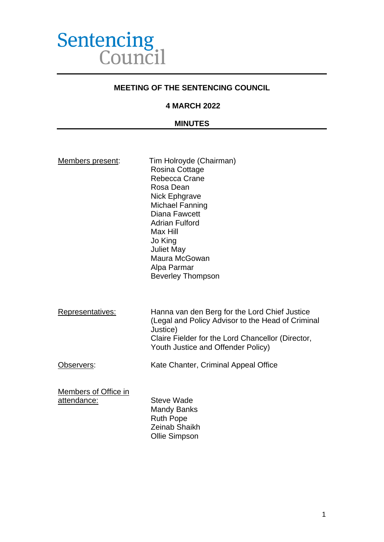

#### **MEETING OF THE SENTENCING COUNCIL**

#### **4 MARCH 2022**

#### **MINUTES**

| Members present: |  |
|------------------|--|
|                  |  |

Tim Holroyde (Chairman) Rosina Cottage Rebecca Crane Rosa Dean Nick Ephgrave Michael Fanning Diana Fawcett Adrian Fulford Max Hill Jo King Juliet May Maura McGowan Alpa Parmar Beverley Thompson

Representatives: Hanna van den Berg for the Lord Chief Justice (Legal and Policy Advisor to the Head of Criminal Justice) Claire Fielder for the Lord Chancellor (Director, Youth Justice and Offender Policy)

Observers: Kate Chanter, Criminal Appeal Office

Members of Office in attendance: Steve Wade

Mandy Banks Ruth Pope Zeinab Shaikh Ollie Simpson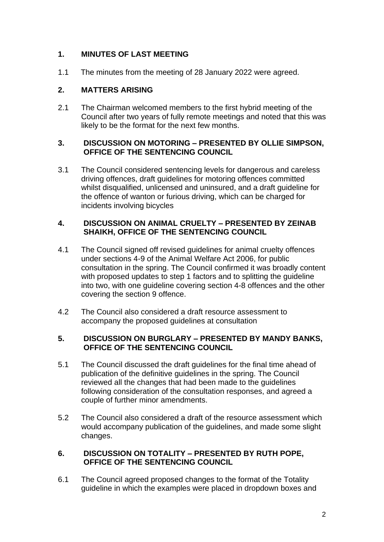# **1. MINUTES OF LAST MEETING**

1.1 The minutes from the meeting of 28 January 2022 were agreed.

# **2. MATTERS ARISING**

2.1 The Chairman welcomed members to the first hybrid meeting of the Council after two years of fully remote meetings and noted that this was likely to be the format for the next few months.

## **3. DISCUSSION ON MOTORING – PRESENTED BY OLLIE SIMPSON, OFFICE OF THE SENTENCING COUNCIL**

3.1 The Council considered sentencing levels for dangerous and careless driving offences, draft guidelines for motoring offences committed whilst disqualified, unlicensed and uninsured, and a draft quideline for the offence of wanton or furious driving, which can be charged for incidents involving bicycles

## **4. DISCUSSION ON ANIMAL CRUELTY – PRESENTED BY ZEINAB SHAIKH, OFFICE OF THE SENTENCING COUNCIL**

- 4.1 The Council signed off revised guidelines for animal cruelty offences under sections 4-9 of the Animal Welfare Act 2006, for public consultation in the spring. The Council confirmed it was broadly content with proposed updates to step 1 factors and to splitting the guideline into two, with one guideline covering section 4-8 offences and the other covering the section 9 offence.
- 4.2 The Council also considered a draft resource assessment to accompany the proposed guidelines at consultation

## **5. DISCUSSION ON BURGLARY – PRESENTED BY MANDY BANKS, OFFICE OF THE SENTENCING COUNCIL**

- 5.1 The Council discussed the draft guidelines for the final time ahead of publication of the definitive guidelines in the spring. The Council reviewed all the changes that had been made to the guidelines following consideration of the consultation responses, and agreed a couple of further minor amendments.
- 5.2 The Council also considered a draft of the resource assessment which would accompany publication of the guidelines, and made some slight changes.

## **6. DISCUSSION ON TOTALITY – PRESENTED BY RUTH POPE, OFFICE OF THE SENTENCING COUNCIL**

6.1 The Council agreed proposed changes to the format of the Totality guideline in which the examples were placed in dropdown boxes and